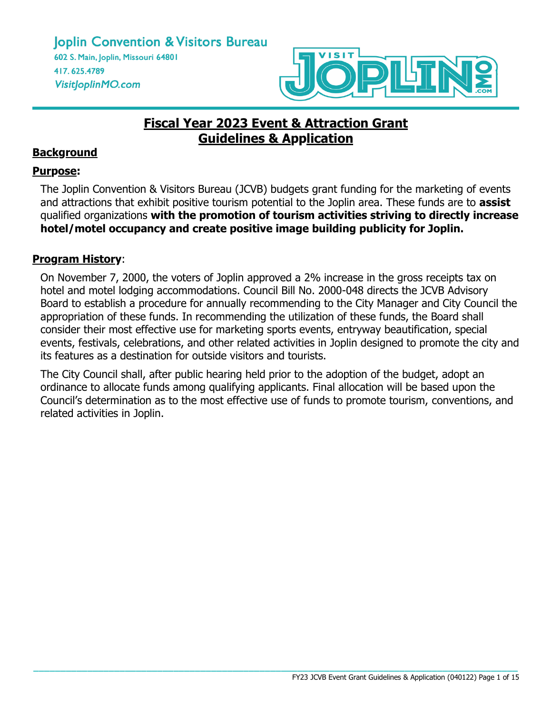

# **Fiscal Year 2023 Event & Attraction Grant Guidelines & Application**

# **Background**

## **Purpose:**

The Joplin Convention & Visitors Bureau (JCVB) budgets grant funding for the marketing of events and attractions that exhibit positive tourism potential to the Joplin area. These funds are to **assist** qualified organizations **with the promotion of tourism activities striving to directly increase hotel/motel occupancy and create positive image building publicity for Joplin.**

## **Program History**:

On November 7, 2000, the voters of Joplin approved a 2% increase in the gross receipts tax on hotel and motel lodging accommodations. Council Bill No. 2000-048 directs the JCVB Advisory Board to establish a procedure for annually recommending to the City Manager and City Council the appropriation of these funds. In recommending the utilization of these funds, the Board shall consider their most effective use for marketing sports events, entryway beautification, special events, festivals, celebrations, and other related activities in Joplin designed to promote the city and its features as a destination for outside visitors and tourists.

The City Council shall, after public hearing held prior to the adoption of the budget, adopt an ordinance to allocate funds among qualifying applicants. Final allocation will be based upon the Council's determination as to the most effective use of funds to promote tourism, conventions, and related activities in Joplin.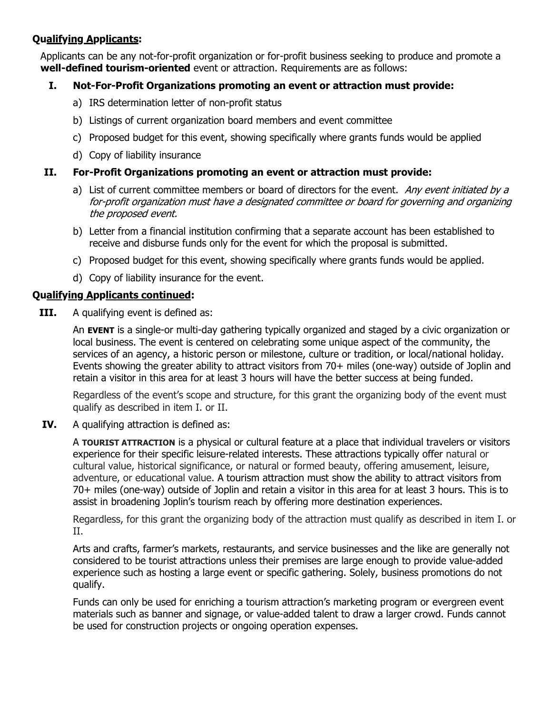## **Qualifying Applicants:**

Applicants can be any not-for-profit organization or for-profit business seeking to produce and promote a **well-defined tourism-oriented** event or attraction. Requirements are as follows:

## **I. Not-For-Profit Organizations promoting an event or attraction must provide:**

- a) IRS determination letter of non-profit status
- b) Listings of current organization board members and event committee
- c) Proposed budget for this event, showing specifically where grants funds would be applied
- d) Copy of liability insurance

## **II. For-Profit Organizations promoting an event or attraction must provide:**

- a) List of current committee members or board of directors for the event. Any event initiated by a for-profit organization must have a designated committee or board for governing and organizing the proposed event.
- b) Letter from a financial institution confirming that a separate account has been established to receive and disburse funds only for the event for which the proposal is submitted.
- c) Proposed budget for this event, showing specifically where grants funds would be applied.
- d) Copy of liability insurance for the event.

#### **Qualifying Applicants continued:**

**III.** A qualifying event is defined as:

An **EVENT** is a single-or multi-day gathering typically organized and staged by a civic organization or local business. The event is centered on celebrating some unique aspect of the community, the services of an agency, a historic person or milestone, culture or tradition, or local/national holiday. Events showing the greater ability to attract visitors from 70+ miles (one-way) outside of Joplin and retain a visitor in this area for at least 3 hours will have the better success at being funded.

Regardless of the event's scope and structure, for this grant the organizing body of the event must qualify as described in item I. or II.

**IV.** A qualifying attraction is defined as:

A **TOURIST ATTRACTION** is a physical or cultural feature at a place that individual travelers or visitors experience for their specific leisure-related interests. These attractions typically offer natural or cultural value, historical significance, or natural or formed beauty, offering amusement, leisure, adventure, or educational value. A tourism attraction must show the ability to attract visitors from 70+ miles (one-way) outside of Joplin and retain a visitor in this area for at least 3 hours. This is to assist in broadening Joplin's tourism reach by offering more destination experiences.

Regardless, for this grant the organizing body of the attraction must qualify as described in item I. or II.

Arts and crafts, farmer's markets, restaurants, and service businesses and the like are generally not considered to be tourist attractions unless their premises are large enough to provide value-added experience such as hosting a large event or specific gathering. Solely, business promotions do not qualify.

Funds can only be used for enriching a tourism attraction's marketing program or evergreen event materials such as banner and signage, or value-added talent to draw a larger crowd. Funds cannot be used for construction projects or ongoing operation expenses.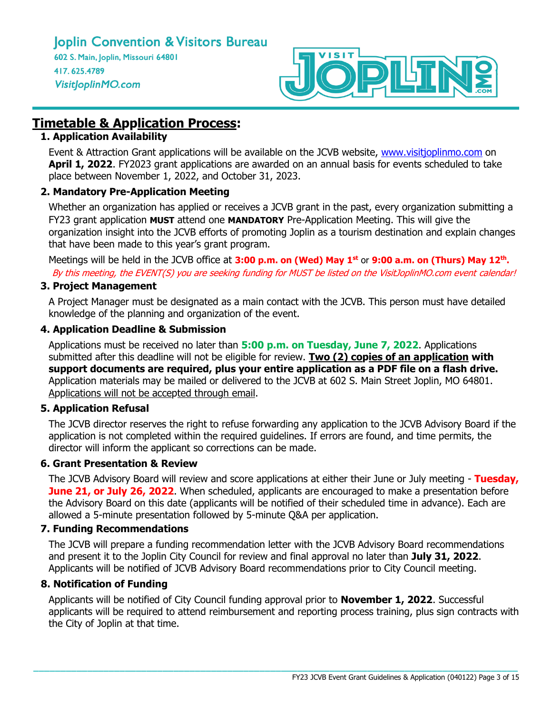

# **Timetable & Application Process:**

## **1. Application Availability**

Event & Attraction Grant applications will be available on the JCVB website, [www.visitjoplinmo.com](http://www.visitjoplinmo.com/) on **April 1, 2022**. FY2023 grant applications are awarded on an annual basis for events scheduled to take place between November 1, 2022, and October 31, 2023.

## **2. Mandatory Pre-Application Meeting**

Whether an organization has applied or receives a JCVB grant in the past, every organization submitting a FY23 grant application **MUST** attend one **MANDATORY** Pre-Application Meeting. This will give the organization insight into the JCVB efforts of promoting Joplin as a tourism destination and explain changes that have been made to this year's grant program.

Meetings will be held in the JCVB office at **3:00 p.m. on (Wed) May 1st** or **9:00 a.m. on (Thurs) May 12th .** By this meeting, the EVENT(S) you are seeking funding for MUST be listed on the VisitJoplinMO.com event calendar!

## **3. Project Management**

A Project Manager must be designated as a main contact with the JCVB. This person must have detailed knowledge of the planning and organization of the event.

## **4. Application Deadline & Submission**

Applications must be received no later than **5:00 p.m. on Tuesday, June 7, 2022**. Applications submitted after this deadline will not be eligible for review. **Two (2) copies of an application with support documents are required, plus your entire application as a PDF file on a flash drive.** Application materials may be mailed or delivered to the JCVB at 602 S. Main Street Joplin, MO 64801. Applications will not be accepted through email.

## **5. Application Refusal**

The JCVB director reserves the right to refuse forwarding any application to the JCVB Advisory Board if the application is not completed within the required guidelines. If errors are found, and time permits, the director will inform the applicant so corrections can be made.

## **6. Grant Presentation & Review**

The JCVB Advisory Board will review and score applications at either their June or July meeting - **Tuesday, June 21, or July 26, 2022**. When scheduled, applicants are encouraged to make a presentation before the Advisory Board on this date (applicants will be notified of their scheduled time in advance). Each are allowed a 5-minute presentation followed by 5-minute Q&A per application.

## **7. Funding Recommendations**

The JCVB will prepare a funding recommendation letter with the JCVB Advisory Board recommendations and present it to the Joplin City Council for review and final approval no later than **July 31, 2022**. Applicants will be notified of JCVB Advisory Board recommendations prior to City Council meeting.

## **8. Notification of Funding**

Applicants will be notified of City Council funding approval prior to **November 1, 2022**. Successful applicants will be required to attend reimbursement and reporting process training, plus sign contracts with the City of Joplin at that time.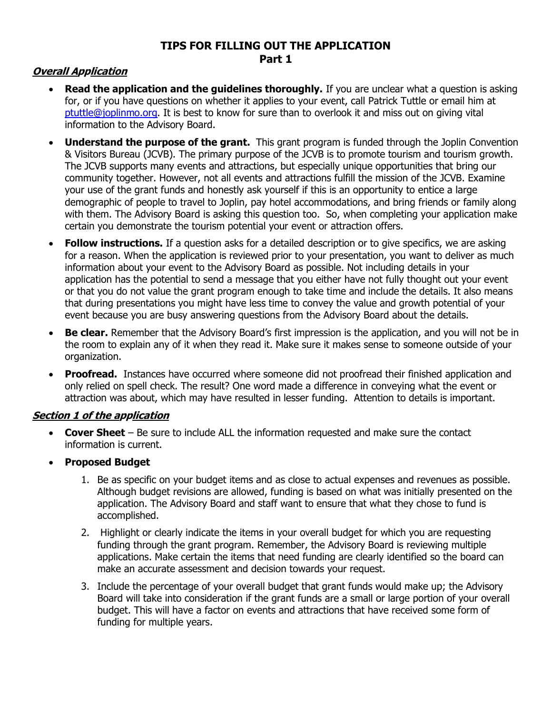## **TIPS FOR FILLING OUT THE APPLICATION Part 1**

## **Overall Application**

- **Read the application and the guidelines thoroughly.** If you are unclear what a question is asking for, or if you have questions on whether it applies to your event, call Patrick Tuttle or email him at [ptuttle@joplinmo.org.](mailto:ptuttle@joplinmo.org) It is best to know for sure than to overlook it and miss out on giving vital information to the Advisory Board.
- **Understand the purpose of the grant.** This grant program is funded through the Joplin Convention & Visitors Bureau (JCVB). The primary purpose of the JCVB is to promote tourism and tourism growth. The JCVB supports many events and attractions, but especially unique opportunities that bring our community together. However, not all events and attractions fulfill the mission of the JCVB. Examine your use of the grant funds and honestly ask yourself if this is an opportunity to entice a large demographic of people to travel to Joplin, pay hotel accommodations, and bring friends or family along with them. The Advisory Board is asking this question too. So, when completing your application make certain you demonstrate the tourism potential your event or attraction offers.
- **Follow instructions.** If a question asks for a detailed description or to give specifics, we are asking for a reason. When the application is reviewed prior to your presentation, you want to deliver as much information about your event to the Advisory Board as possible. Not including details in your application has the potential to send a message that you either have not fully thought out your event or that you do not value the grant program enough to take time and include the details. It also means that during presentations you might have less time to convey the value and growth potential of your event because you are busy answering questions from the Advisory Board about the details.
- **Be clear.** Remember that the Advisory Board's first impression is the application, and you will not be in the room to explain any of it when they read it. Make sure it makes sense to someone outside of your organization.
- **Proofread.** Instances have occurred where someone did not proofread their finished application and only relied on spell check. The result? One word made a difference in conveying what the event or attraction was about, which may have resulted in lesser funding. Attention to details is important.

## **Section 1 of the application**

- **Cover Sheet** Be sure to include ALL the information requested and make sure the contact information is current.
- **Proposed Budget**
	- 1. Be as specific on your budget items and as close to actual expenses and revenues as possible. Although budget revisions are allowed, funding is based on what was initially presented on the application. The Advisory Board and staff want to ensure that what they chose to fund is accomplished.
	- 2. Highlight or clearly indicate the items in your overall budget for which you are requesting funding through the grant program. Remember, the Advisory Board is reviewing multiple applications. Make certain the items that need funding are clearly identified so the board can make an accurate assessment and decision towards your request.
	- 3. Include the percentage of your overall budget that grant funds would make up; the Advisory Board will take into consideration if the grant funds are a small or large portion of your overall budget. This will have a factor on events and attractions that have received some form of funding for multiple years.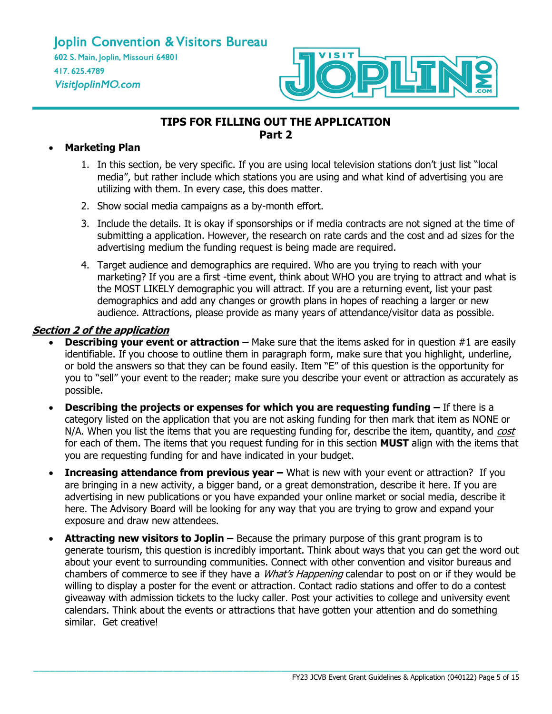

## **TIPS FOR FILLING OUT THE APPLICATION Part 2**

#### • **Marketing Plan**

- 1. In this section, be very specific. If you are using local television stations don't just list "local media", but rather include which stations you are using and what kind of advertising you are utilizing with them. In every case, this does matter.
- 2. Show social media campaigns as a by-month effort.
- 3. Include the details. It is okay if sponsorships or if media contracts are not signed at the time of submitting a application. However, the research on rate cards and the cost and ad sizes for the advertising medium the funding request is being made are required.
- 4. Target audience and demographics are required. Who are you trying to reach with your marketing? If you are a first -time event, think about WHO you are trying to attract and what is the MOST LIKELY demographic you will attract. If you are a returning event, list your past demographics and add any changes or growth plans in hopes of reaching a larger or new audience. Attractions, please provide as many years of attendance/visitor data as possible.

#### **Section 2 of the application**

- **Describing your event or attraction –** Make sure that the items asked for in question #1 are easily identifiable. If you choose to outline them in paragraph form, make sure that you highlight, underline, or bold the answers so that they can be found easily. Item "E" of this question is the opportunity for you to "sell" your event to the reader; make sure you describe your event or attraction as accurately as possible.
- **Describing the projects or expenses for which you are requesting funding –** If there is a category listed on the application that you are not asking funding for then mark that item as NONE or N/A. When you list the items that you are requesting funding for, describe the item, quantity, and cost for each of them. The items that you request funding for in this section **MUST** align with the items that you are requesting funding for and have indicated in your budget.
- **Increasing attendance from previous year What is new with your event or attraction? If you** are bringing in a new activity, a bigger band, or a great demonstration, describe it here. If you are advertising in new publications or you have expanded your online market or social media, describe it here. The Advisory Board will be looking for any way that you are trying to grow and expand your exposure and draw new attendees.
- **Attracting new visitors to Joplin –** Because the primary purpose of this grant program is to generate tourism, this question is incredibly important. Think about ways that you can get the word out about your event to surrounding communities. Connect with other convention and visitor bureaus and chambers of commerce to see if they have a *What's Happening* calendar to post on or if they would be willing to display a poster for the event or attraction. Contact radio stations and offer to do a contest giveaway with admission tickets to the lucky caller. Post your activities to college and university event calendars. Think about the events or attractions that have gotten your attention and do something similar. Get creative!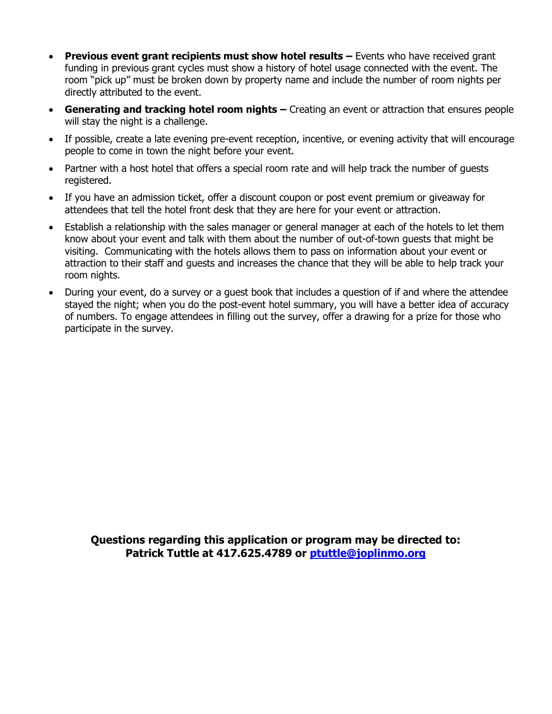- **Previous event grant recipients must show hotel results –** Events who have received grant funding in previous grant cycles must show a history of hotel usage connected with the event. The room "pick up" must be broken down by property name and include the number of room nights per directly attributed to the event.
- **Generating and tracking hotel room nights –** Creating an event or attraction that ensures people will stay the night is a challenge.
- If possible, create a late evening pre-event reception, incentive, or evening activity that will encourage people to come in town the night before your event.
- Partner with a host hotel that offers a special room rate and will help track the number of guests registered.
- If you have an admission ticket, offer a discount coupon or post event premium or giveaway for attendees that tell the hotel front desk that they are here for your event or attraction.
- Establish a relationship with the sales manager or general manager at each of the hotels to let them know about your event and talk with them about the number of out-of-town guests that might be visiting. Communicating with the hotels allows them to pass on information about your event or attraction to their staff and guests and increases the chance that they will be able to help track your room nights.
- During your event, do a survey or a guest book that includes a question of if and where the attendee stayed the night; when you do the post-event hotel summary, you will have a better idea of accuracy of numbers. To engage attendees in filling out the survey, offer a drawing for a prize for those who participate in the survey.

**Questions regarding this application or program may be directed to: Patrick Tuttle at 417.625.4789 or [ptuttle@joplinmo.org](mailto:ptuttle@joplinmo.org)**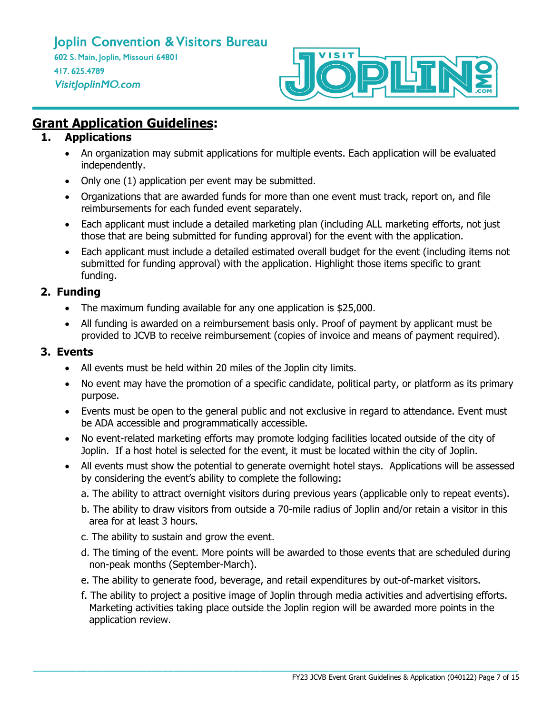

# **Grant Application Guidelines:**

## **1. Applications**

- An organization may submit applications for multiple events. Each application will be evaluated independently.
- Only one (1) application per event may be submitted.
- Organizations that are awarded funds for more than one event must track, report on, and file reimbursements for each funded event separately.
- Each applicant must include a detailed marketing plan (including ALL marketing efforts, not just those that are being submitted for funding approval) for the event with the application.
- Each applicant must include a detailed estimated overall budget for the event (including items not submitted for funding approval) with the application. Highlight those items specific to grant funding.

## **2. Funding**

- The maximum funding available for any one application is \$25,000.
- All funding is awarded on a reimbursement basis only. Proof of payment by applicant must be provided to JCVB to receive reimbursement (copies of invoice and means of payment required).

## **3. Events**

- All events must be held within 20 miles of the Joplin city limits.
- No event may have the promotion of a specific candidate, political party, or platform as its primary purpose.
- Events must be open to the general public and not exclusive in regard to attendance. Event must be ADA accessible and programmatically accessible.
- No event-related marketing efforts may promote lodging facilities located outside of the city of Joplin. If a host hotel is selected for the event, it must be located within the city of Joplin.
- All events must show the potential to generate overnight hotel stays. Applications will be assessed by considering the event's ability to complete the following:
	- a. The ability to attract overnight visitors during previous years (applicable only to repeat events).
	- b. The ability to draw visitors from outside a 70-mile radius of Joplin and/or retain a visitor in this area for at least 3 hours.
	- c. The ability to sustain and grow the event.
	- d. The timing of the event. More points will be awarded to those events that are scheduled during non-peak months (September-March).
	- e. The ability to generate food, beverage, and retail expenditures by out-of-market visitors.

**\_\_\_\_\_\_\_\_\_\_\_\_\_\_\_\_\_\_\_\_\_\_\_\_\_\_\_\_\_\_\_\_\_\_\_\_\_\_\_\_\_\_\_\_\_\_\_\_\_\_\_\_\_\_\_\_\_\_\_\_\_\_\_\_\_\_\_\_\_\_\_\_\_\_\_\_\_\_\_\_\_\_\_\_\_\_\_\_\_\_**

f. The ability to project a positive image of Joplin through media activities and advertising efforts. Marketing activities taking place outside the Joplin region will be awarded more points in the application review.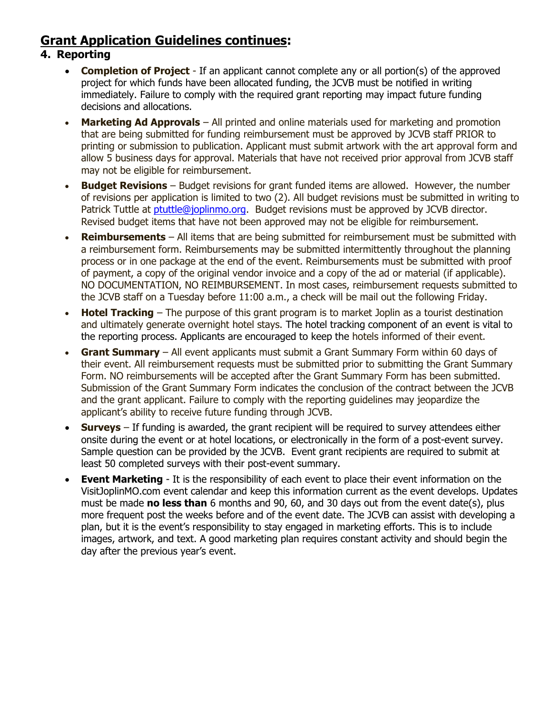# **Grant Application Guidelines continues:**

## **4. Reporting**

- **Completion of Project** If an applicant cannot complete any or all portion(s) of the approved project for which funds have been allocated funding, the JCVB must be notified in writing immediately. Failure to comply with the required grant reporting may impact future funding decisions and allocations.
- **Marketing Ad Approvals** All printed and online materials used for marketing and promotion that are being submitted for funding reimbursement must be approved by JCVB staff PRIOR to printing or submission to publication. Applicant must submit artwork with the art approval form and allow 5 business days for approval. Materials that have not received prior approval from JCVB staff may not be eligible for reimbursement.
- **Budget Revisions** Budget revisions for grant funded items are allowed. However, the number of revisions per application is limited to two (2). All budget revisions must be submitted in writing to Patrick Tuttle at [ptuttle@joplinmo.org.](mailto:ptuttle@joplinmo.org) Budget revisions must be approved by JCVB director. Revised budget items that have not been approved may not be eligible for reimbursement.
- **Reimbursements** All items that are being submitted for reimbursement must be submitted with a reimbursement form. Reimbursements may be submitted intermittently throughout the planning process or in one package at the end of the event. Reimbursements must be submitted with proof of payment, a copy of the original vendor invoice and a copy of the ad or material (if applicable). NO DOCUMENTATION, NO REIMBURSEMENT. In most cases, reimbursement requests submitted to the JCVB staff on a Tuesday before 11:00 a.m., a check will be mail out the following Friday.
- **Hotel Tracking** The purpose of this grant program is to market Joplin as a tourist destination and ultimately generate overnight hotel stays. The hotel tracking component of an event is vital to the reporting process. Applicants are encouraged to keep the hotels informed of their event.
- **Grant Summary** All event applicants must submit a Grant Summary Form within 60 days of their event. All reimbursement requests must be submitted prior to submitting the Grant Summary Form. NO reimbursements will be accepted after the Grant Summary Form has been submitted. Submission of the Grant Summary Form indicates the conclusion of the contract between the JCVB and the grant applicant. Failure to comply with the reporting guidelines may jeopardize the applicant's ability to receive future funding through JCVB.
- **Surveys** If funding is awarded, the grant recipient will be required to survey attendees either onsite during the event or at hotel locations, or electronically in the form of a post-event survey. Sample question can be provided by the JCVB. Event grant recipients are required to submit at least 50 completed surveys with their post-event summary.
- **Event Marketing** It is the responsibility of each event to place their event information on the VisitJoplinMO.com event calendar and keep this information current as the event develops. Updates must be made **no less than** 6 months and 90, 60, and 30 days out from the event date(s), plus more frequent post the weeks before and of the event date. The JCVB can assist with developing a plan, but it is the event's responsibility to stay engaged in marketing efforts. This is to include images, artwork, and text. A good marketing plan requires constant activity and should begin the day after the previous year's event.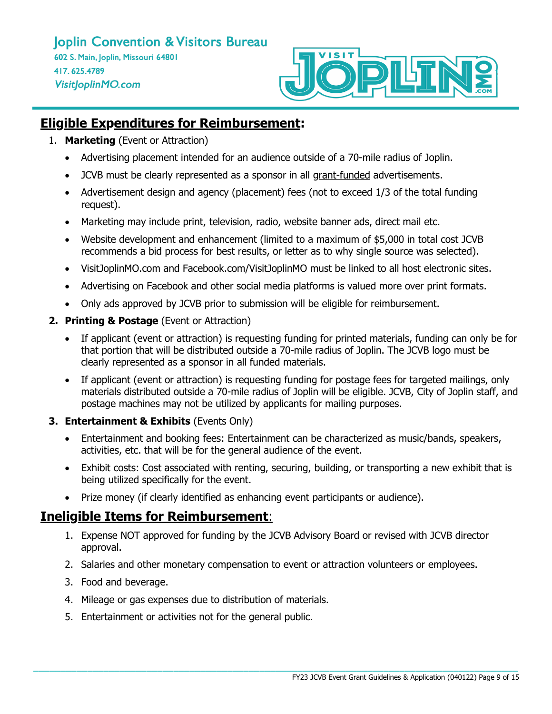

# **Eligible Expenditures for Reimbursement:**

- 1. **Marketing** (Event or Attraction)
	- Advertising placement intended for an audience outside of a 70-mile radius of Joplin.
	- JCVB must be clearly represented as a sponsor in all grant-funded advertisements.
	- Advertisement design and agency (placement) fees (not to exceed 1/3 of the total funding request).
	- Marketing may include print, television, radio, website banner ads, direct mail etc.
	- Website development and enhancement (limited to a maximum of \$5,000 in total cost JCVB recommends a bid process for best results, or letter as to why single source was selected).
	- VisitJoplinMO.com and Facebook.com/VisitJoplinMO must be linked to all host electronic sites.
	- Advertising on Facebook and other social media platforms is valued more over print formats.
	- Only ads approved by JCVB prior to submission will be eligible for reimbursement.
- **2. Printing & Postage** (Event or Attraction)
	- If applicant (event or attraction) is requesting funding for printed materials, funding can only be for that portion that will be distributed outside a 70-mile radius of Joplin. The JCVB logo must be clearly represented as a sponsor in all funded materials.
	- If applicant (event or attraction) is requesting funding for postage fees for targeted mailings, only materials distributed outside a 70-mile radius of Joplin will be eligible. JCVB, City of Joplin staff, and postage machines may not be utilized by applicants for mailing purposes.
- **3. Entertainment & Exhibits** (Events Only)
	- Entertainment and booking fees: Entertainment can be characterized as music/bands, speakers, activities, etc. that will be for the general audience of the event.
	- Exhibit costs: Cost associated with renting, securing, building, or transporting a new exhibit that is being utilized specifically for the event.
	- Prize money (if clearly identified as enhancing event participants or audience).

# **Ineligible Items for Reimbursement**:

- 1. Expense NOT approved for funding by the JCVB Advisory Board or revised with JCVB director approval.
- 2. Salaries and other monetary compensation to event or attraction volunteers or employees.

- 3. Food and beverage.
- 4. Mileage or gas expenses due to distribution of materials.
- 5. Entertainment or activities not for the general public.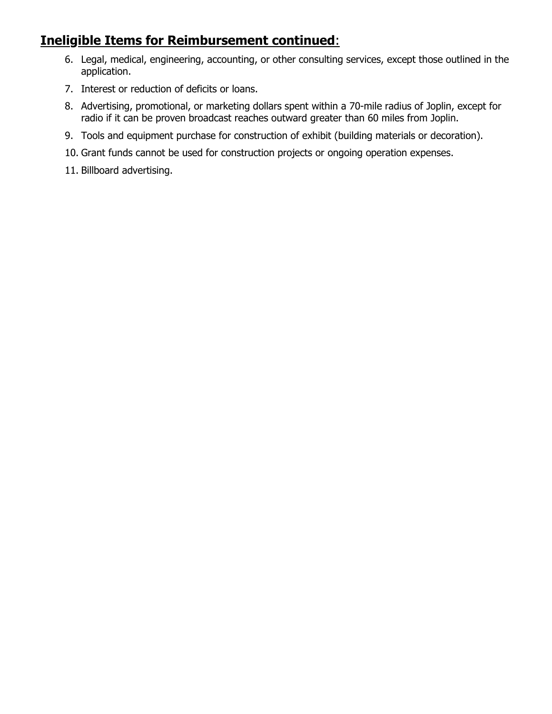# **Ineligible Items for Reimbursement continued**:

- 6. Legal, medical, engineering, accounting, or other consulting services, except those outlined in the application.
- 7. Interest or reduction of deficits or loans.
- 8. Advertising, promotional, or marketing dollars spent within a 70-mile radius of Joplin, except for radio if it can be proven broadcast reaches outward greater than 60 miles from Joplin.
- 9. Tools and equipment purchase for construction of exhibit (building materials or decoration).
- 10. Grant funds cannot be used for construction projects or ongoing operation expenses.
- 11. Billboard advertising.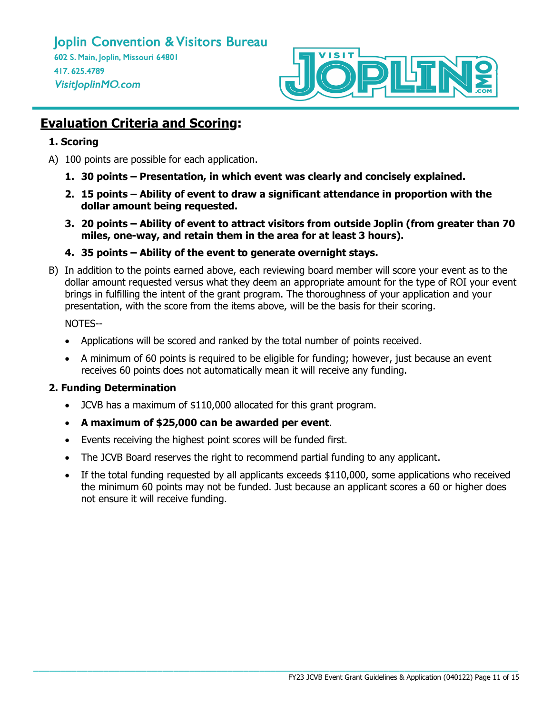

# **Evaluation Criteria and Scoring:**

## **1. Scoring**

- A) 100 points are possible for each application.
	- **1. 30 points – Presentation, in which event was clearly and concisely explained.**
	- **2. 15 points – Ability of event to draw a significant attendance in proportion with the dollar amount being requested.**
	- **3. 20 points – Ability of event to attract visitors from outside Joplin (from greater than 70 miles, one-way, and retain them in the area for at least 3 hours).**
	- **4. 35 points – Ability of the event to generate overnight stays.**
- B) In addition to the points earned above, each reviewing board member will score your event as to the dollar amount requested versus what they deem an appropriate amount for the type of ROI your event brings in fulfilling the intent of the grant program. The thoroughness of your application and your presentation, with the score from the items above, will be the basis for their scoring.

NOTES--

- Applications will be scored and ranked by the total number of points received.
- A minimum of 60 points is required to be eligible for funding; however, just because an event receives 60 points does not automatically mean it will receive any funding.

## **2. Funding Determination**

- JCVB has a maximum of \$110,000 allocated for this grant program.
- **A maximum of \$25,000 can be awarded per event**.
- Events receiving the highest point scores will be funded first.
- The JCVB Board reserves the right to recommend partial funding to any applicant.
- If the total funding requested by all applicants exceeds \$110,000, some applications who received the minimum 60 points may not be funded. Just because an applicant scores a 60 or higher does not ensure it will receive funding.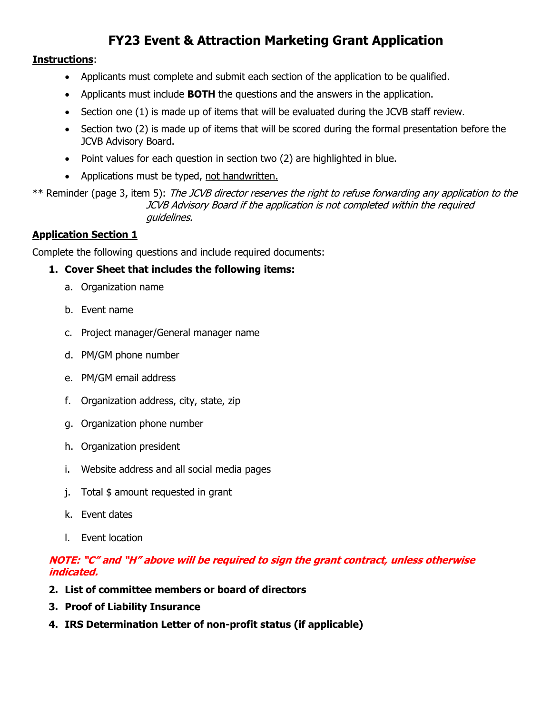# **FY23 Event & Attraction Marketing Grant Application**

#### **Instructions**:

- Applicants must complete and submit each section of the application to be qualified.
- Applicants must include **BOTH** the questions and the answers in the application.
- Section one (1) is made up of items that will be evaluated during the JCVB staff review.
- Section two (2) is made up of items that will be scored during the formal presentation before the JCVB Advisory Board.
- Point values for each question in section two (2) are highlighted in blue.
- Applications must be typed, not handwritten.

\*\* Reminder (page 3, item 5): The JCVB director reserves the right to refuse forwarding any application to the JCVB Advisory Board if the application is not completed within the required guidelines.

#### **Application Section 1**

Complete the following questions and include required documents:

#### **1. Cover Sheet that includes the following items:**

- a. Organization name
- b. Event name
- c. Project manager/General manager name
- d. PM/GM phone number
- e. PM/GM email address
- f. Organization address, city, state, zip
- g. Organization phone number
- h. Organization president
- i. Website address and all social media pages
- j. Total \$ amount requested in grant
- k. Event dates
- l. Event location

## **NOTE: "C" and "H" above will be required to sign the grant contract, unless otherwise indicated.**

- **2. List of committee members or board of directors**
- **3. Proof of Liability Insurance**
- **4. IRS Determination Letter of non-profit status (if applicable)**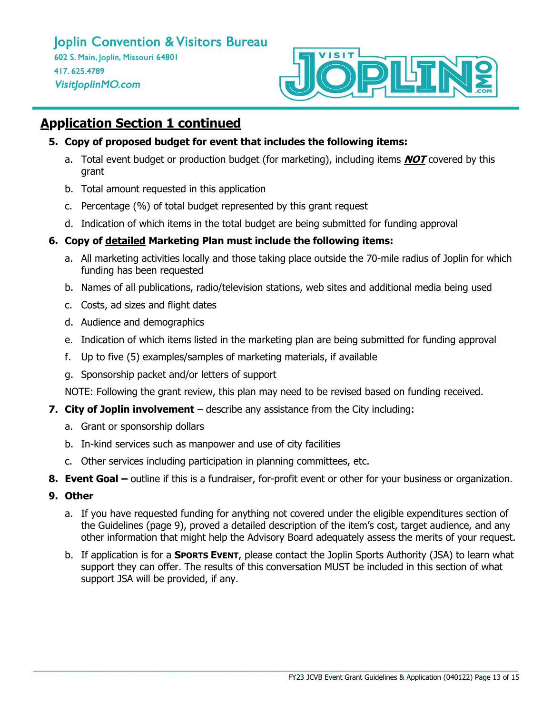

# **Application Section 1 continued**

- **5. Copy of proposed budget for event that includes the following items:**
	- a. Total event budget or production budget (for marketing), including items **NOT** covered by this grant
	- b. Total amount requested in this application
	- c. Percentage (%) of total budget represented by this grant request
	- d. Indication of which items in the total budget are being submitted for funding approval

## **6. Copy of detailed Marketing Plan must include the following items:**

- a. All marketing activities locally and those taking place outside the 70-mile radius of Joplin for which funding has been requested
- b. Names of all publications, radio/television stations, web sites and additional media being used
- c. Costs, ad sizes and flight dates
- d. Audience and demographics
- e. Indication of which items listed in the marketing plan are being submitted for funding approval
- f. Up to five (5) examples/samples of marketing materials, if available
- g. Sponsorship packet and/or letters of support

NOTE: Following the grant review, this plan may need to be revised based on funding received.

## **7. City of Joplin involvement** – describe any assistance from the City including:

- a. Grant or sponsorship dollars
- b. In-kind services such as manpower and use of city facilities
- c. Other services including participation in planning committees, etc.
- **8. Event Goal –** outline if this is a fundraiser, for-profit event or other for your business or organization.
- **9. Other**
	- a. If you have requested funding for anything not covered under the eligible expenditures section of the Guidelines (page 9), proved a detailed description of the item's cost, target audience, and any other information that might help the Advisory Board adequately assess the merits of your request.
	- b. If application is for a **SPORTS EVENT**, please contact the Joplin Sports Authority (JSA) to learn what support they can offer. The results of this conversation MUST be included in this section of what support JSA will be provided, if any.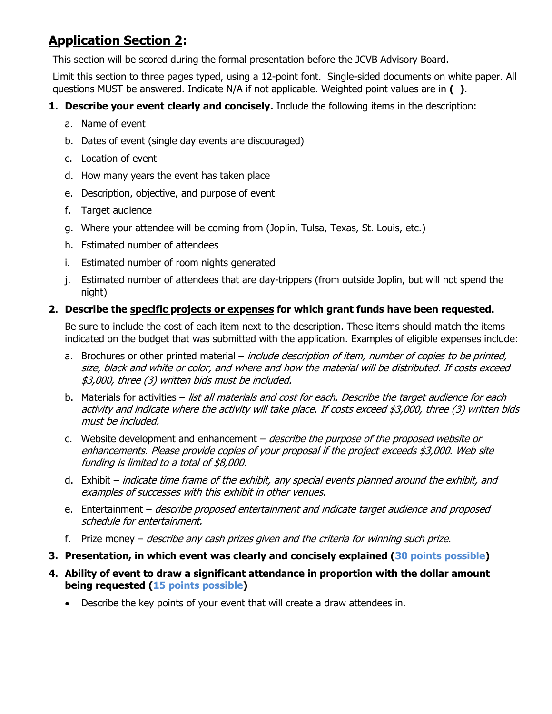# **Application Section 2:**

This section will be scored during the formal presentation before the JCVB Advisory Board.

Limit this section to three pages typed, using a 12-point font. Single-sided documents on white paper. All questions MUST be answered. Indicate N/A if not applicable. Weighted point values are in **( )**.

- **1. Describe your event clearly and concisely.** Include the following items in the description:
	- a. Name of event
	- b. Dates of event (single day events are discouraged)
	- c. Location of event
	- d. How many years the event has taken place
	- e. Description, objective, and purpose of event
	- f. Target audience
	- g. Where your attendee will be coming from (Joplin, Tulsa, Texas, St. Louis, etc.)
	- h. Estimated number of attendees
	- i. Estimated number of room nights generated
	- j. Estimated number of attendees that are day-trippers (from outside Joplin, but will not spend the night)

## **2. Describe the specific projects or expenses for which grant funds have been requested.**

Be sure to include the cost of each item next to the description. These items should match the items indicated on the budget that was submitted with the application. Examples of eligible expenses include:

- a. Brochures or other printed material *include description of item, number of copies to be printed,* size, black and white or color, and where and how the material will be distributed. If costs exceed \$3,000, three (3) written bids must be included.
- b. Materials for activities list all materials and cost for each. Describe the target audience for each activity and indicate where the activity will take place. If costs exceed \$3,000, three (3) written bids must be included.
- c. Website development and enhancement *describe the purpose of the proposed website or* enhancements. Please provide copies of your proposal if the project exceeds \$3,000. Web site funding is limited to a total of \$8,000.
- d. Exhibit indicate time frame of the exhibit, any special events planned around the exhibit, and examples of successes with this exhibit in other venues.
- e. Entertainment *describe proposed entertainment and indicate target audience and proposed* schedule for entertainment.
- f. Prize money describe any cash prizes given and the criteria for winning such prize.
- **3. Presentation, in which event was clearly and concisely explained (30 points possible)**
- **4. Ability of event to draw a significant attendance in proportion with the dollar amount being requested (15 points possible)**
	- Describe the key points of your event that will create a draw attendees in.